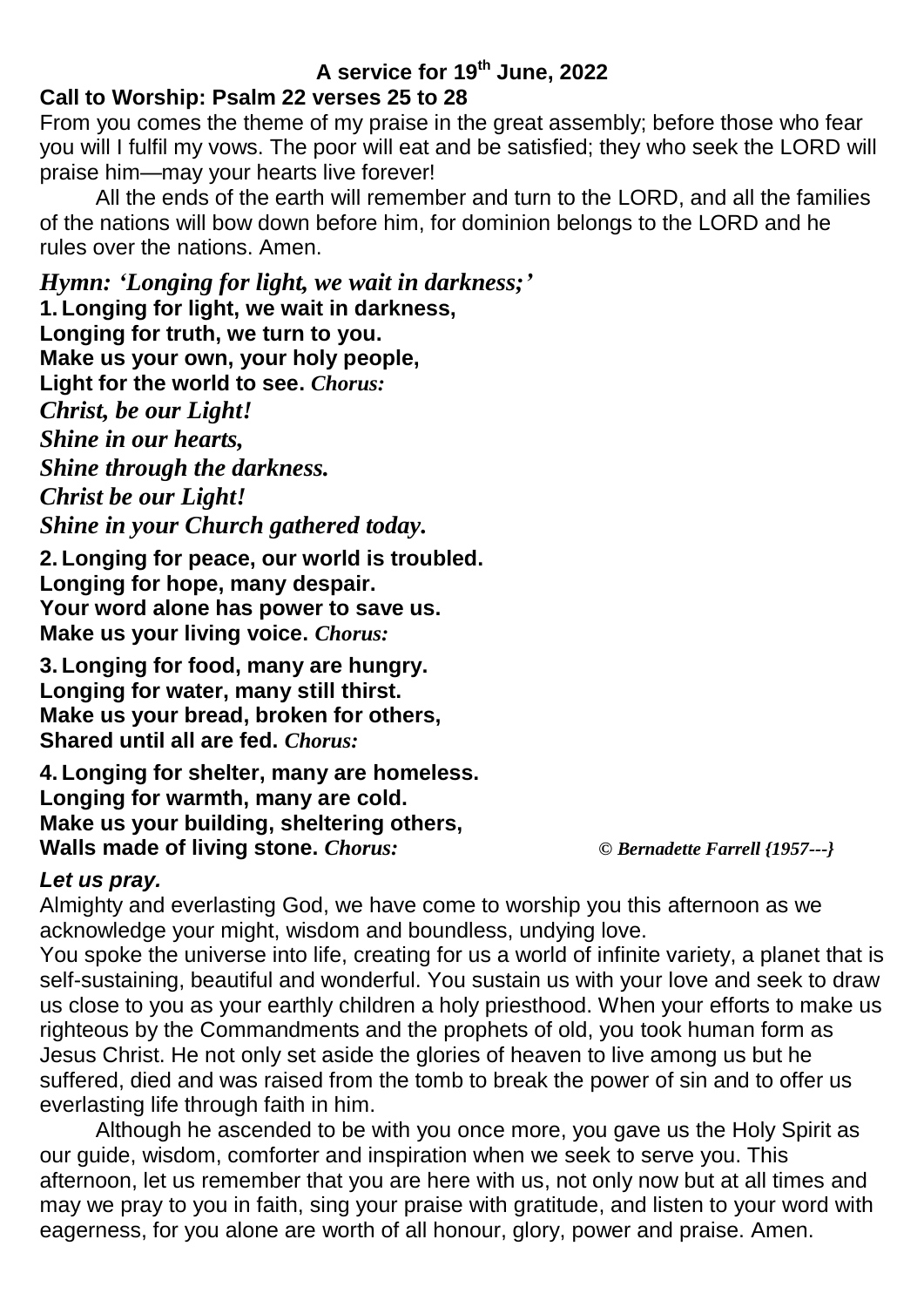#### **A service for 19th June, 2022 Call to Worship: Psalm 22 verses 25 to 28**

From you comes the theme of my praise in the great assembly; before those who fear you will I fulfil my vows. The poor will eat and be satisfied; they who seek the LORD will praise him—may your hearts live forever!

All the ends of the earth will remember and turn to the LORD, and all the families of the nations will bow down before him, for dominion belongs to the LORD and he rules over the nations. Amen.

*Hymn: 'Longing for light, we wait in darkness;'*  **1. Longing for light, we wait in darkness, Longing for truth, we turn to you. Make us your own, your holy people, Light for the world to see.** *Chorus: Christ, be our Light! Shine in our hearts, Shine through the darkness. Christ be our Light! Shine in your Church gathered today.*

**2. Longing for peace, our world is troubled. Longing for hope, many despair. Your word alone has power to save us. Make us your living voice.** *Chorus:*

**3. Longing for food, many are hungry. Longing for water, many still thirst. Make us your bread, broken for others, Shared until all are fed.** *Chorus:*

**4. Longing for shelter, many are homeless. Longing for warmth, many are cold. Make us your building, sheltering others, Walls made of living stone.** *Chorus: © Bernadette Farrell {1957---}*

# *Let us pray.*

Almighty and everlasting God, we have come to worship you this afternoon as we acknowledge your might, wisdom and boundless, undying love.

You spoke the universe into life, creating for us a world of infinite variety, a planet that is self-sustaining, beautiful and wonderful. You sustain us with your love and seek to draw us close to you as your earthly children a holy priesthood. When your efforts to make us righteous by the Commandments and the prophets of old, you took human form as Jesus Christ. He not only set aside the glories of heaven to live among us but he suffered, died and was raised from the tomb to break the power of sin and to offer us everlasting life through faith in him.

Although he ascended to be with you once more, you gave us the Holy Spirit as our guide, wisdom, comforter and inspiration when we seek to serve you. This afternoon, let us remember that you are here with us, not only now but at all times and may we pray to you in faith, sing your praise with gratitude, and listen to your word with eagerness, for you alone are worth of all honour, glory, power and praise. Amen.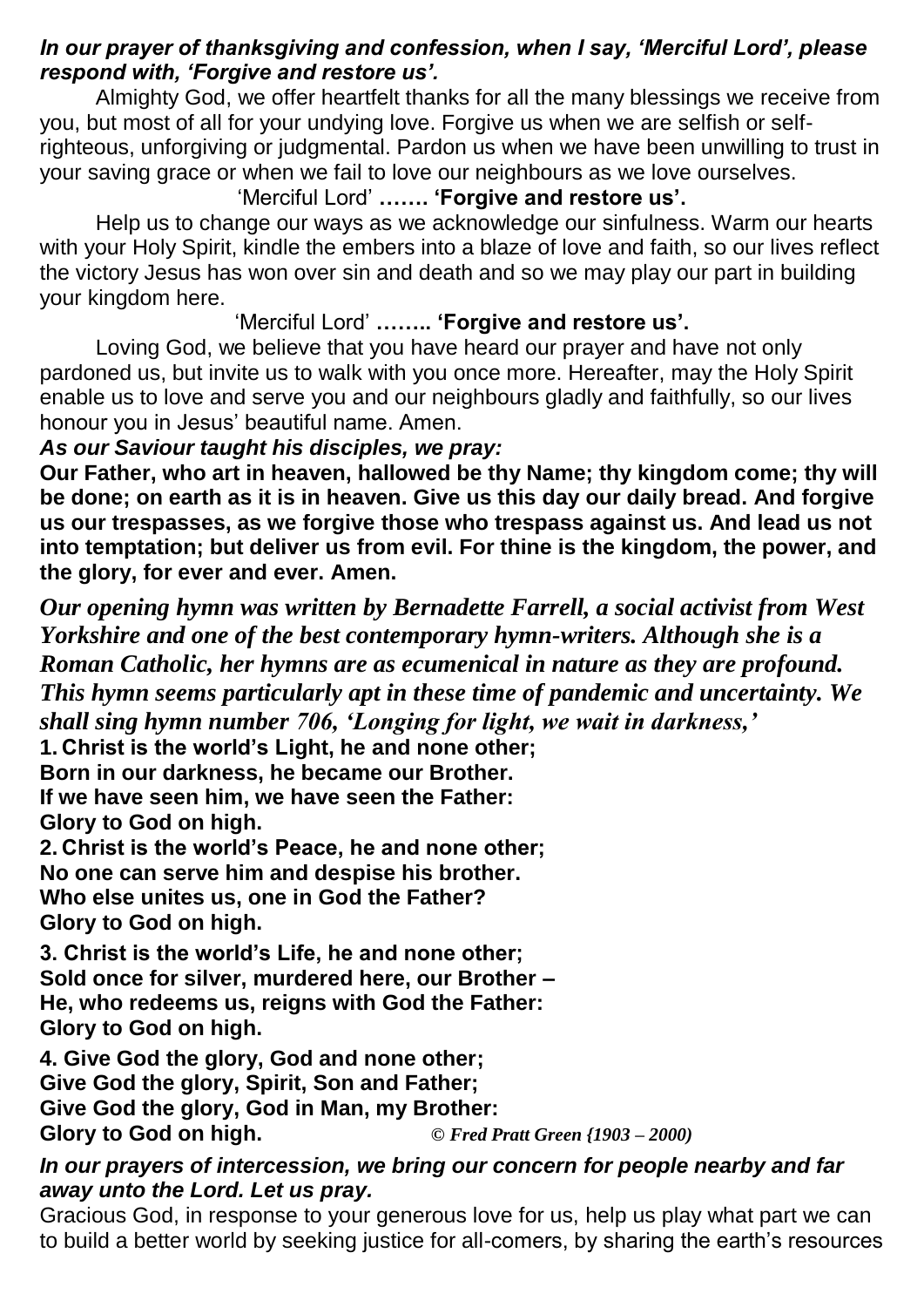#### *In our prayer of thanksgiving and confession, when I say, 'Merciful Lord', please respond with, 'Forgive and restore us'.*

Almighty God, we offer heartfelt thanks for all the many blessings we receive from you, but most of all for your undying love. Forgive us when we are selfish or selfrighteous, unforgiving or judgmental. Pardon us when we have been unwilling to trust in your saving grace or when we fail to love our neighbours as we love ourselves.

'Merciful Lord' **……. 'Forgive and restore us'.**

Help us to change our ways as we acknowledge our sinfulness. Warm our hearts with your Holy Spirit, kindle the embers into a blaze of love and faith, so our lives reflect the victory Jesus has won over sin and death and so we may play our part in building your kingdom here.

'Merciful Lord' **…….. 'Forgive and restore us'.**

Loving God, we believe that you have heard our prayer and have not only pardoned us, but invite us to walk with you once more. Hereafter, may the Holy Spirit enable us to love and serve you and our neighbours gladly and faithfully, so our lives honour you in Jesus' beautiful name. Amen.

*As our Saviour taught his disciples, we pray:*

**Our Father, who art in heaven, hallowed be thy Name; thy kingdom come; thy will be done; on earth as it is in heaven. Give us this day our daily bread. And forgive us our trespasses, as we forgive those who trespass against us. And lead us not into temptation; but deliver us from evil. For thine is the kingdom, the power, and the glory, for ever and ever. Amen.**

*Our opening hymn was written by Bernadette Farrell, a social activist from West Yorkshire and one of the best contemporary hymn-writers. Although she is a Roman Catholic, her hymns are as ecumenical in nature as they are profound. This hymn seems particularly apt in these time of pandemic and uncertainty. We shall sing hymn number 706, 'Longing for light, we wait in darkness,'*

**1. Christ is the world's Light, he and none other; Born in our darkness, he became our Brother.**

**If we have seen him, we have seen the Father: Glory to God on high.**

**2. Christ is the world's Peace, he and none other; No one can serve him and despise his brother. Who else unites us, one in God the Father? Glory to God on high.**

**3. Christ is the world's Life, he and none other; Sold once for silver, murdered here, our Brother – He, who redeems us, reigns with God the Father: Glory to God on high.** 

**4. Give God the glory, God and none other; Give God the glory, Spirit, Son and Father; Give God the glory, God in Man, my Brother: Glory to God on high.** *© Fred Pratt Green {1903 – 2000)*

# *In our prayers of intercession, we bring our concern for people nearby and far away unto the Lord. Let us pray.*

Gracious God, in response to your generous love for us, help us play what part we can to build a better world by seeking justice for all-comers, by sharing the earth's resources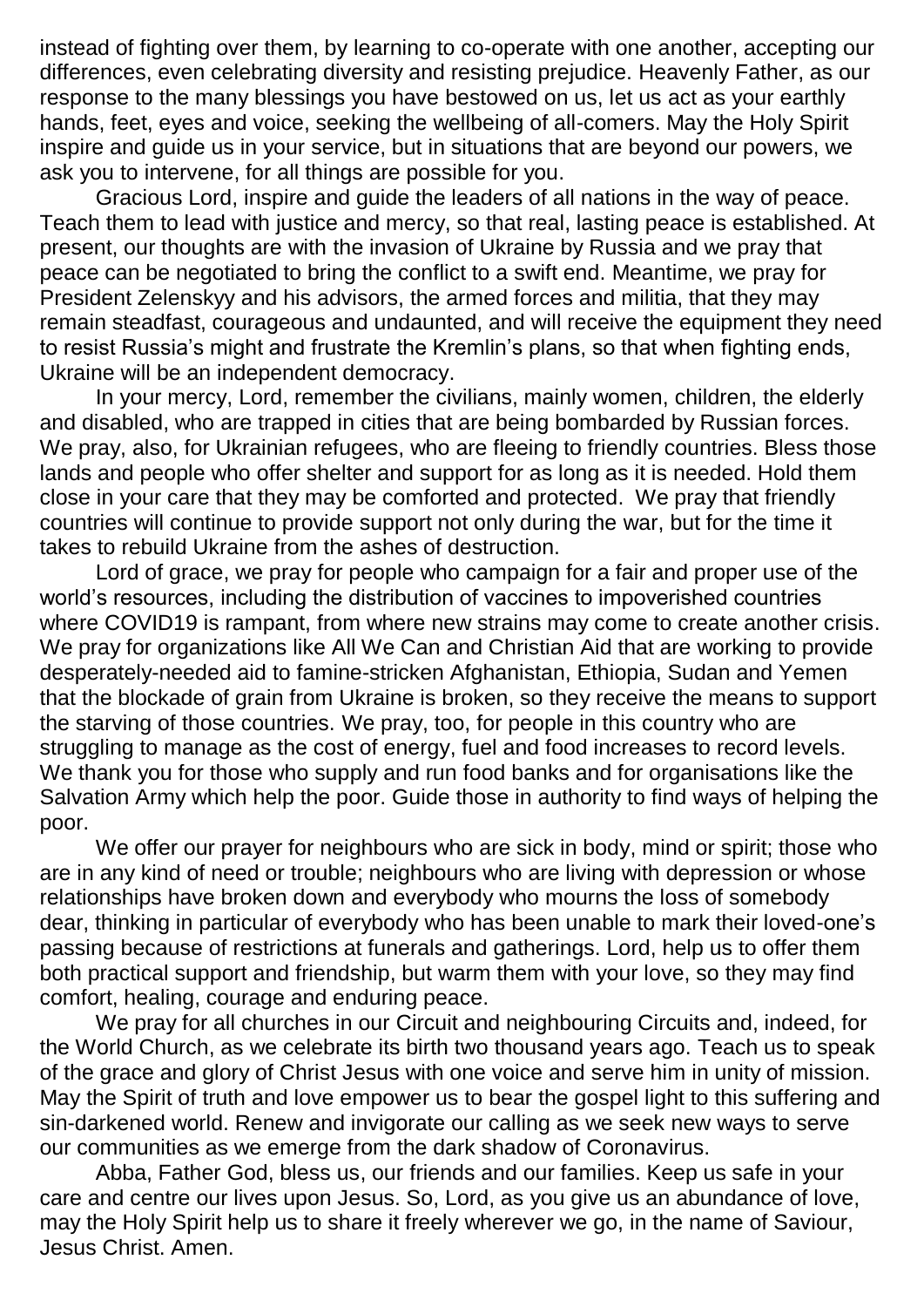instead of fighting over them, by learning to co-operate with one another, accepting our differences, even celebrating diversity and resisting prejudice. Heavenly Father, as our response to the many blessings you have bestowed on us, let us act as your earthly hands, feet, eyes and voice, seeking the wellbeing of all-comers. May the Holy Spirit inspire and guide us in your service, but in situations that are beyond our powers, we ask you to intervene, for all things are possible for you.

Gracious Lord, inspire and guide the leaders of all nations in the way of peace. Teach them to lead with justice and mercy, so that real, lasting peace is established. At present, our thoughts are with the invasion of Ukraine by Russia and we pray that peace can be negotiated to bring the conflict to a swift end. Meantime, we pray for President Zelenskyy and his advisors, the armed forces and militia, that they may remain steadfast, courageous and undaunted, and will receive the equipment they need to resist Russia's might and frustrate the Kremlin's plans, so that when fighting ends, Ukraine will be an independent democracy.

In your mercy, Lord, remember the civilians, mainly women, children, the elderly and disabled, who are trapped in cities that are being bombarded by Russian forces. We pray, also, for Ukrainian refugees, who are fleeing to friendly countries. Bless those lands and people who offer shelter and support for as long as it is needed. Hold them close in your care that they may be comforted and protected. We pray that friendly countries will continue to provide support not only during the war, but for the time it takes to rebuild Ukraine from the ashes of destruction.

Lord of grace, we pray for people who campaign for a fair and proper use of the world's resources, including the distribution of vaccines to impoverished countries where COVID19 is rampant, from where new strains may come to create another crisis. We pray for organizations like All We Can and Christian Aid that are working to provide desperately-needed aid to famine-stricken Afghanistan, Ethiopia, Sudan and Yemen that the blockade of grain from Ukraine is broken, so they receive the means to support the starving of those countries. We pray, too, for people in this country who are struggling to manage as the cost of energy, fuel and food increases to record levels. We thank you for those who supply and run food banks and for organisations like the Salvation Army which help the poor. Guide those in authority to find ways of helping the poor.

We offer our prayer for neighbours who are sick in body, mind or spirit; those who are in any kind of need or trouble; neighbours who are living with depression or whose relationships have broken down and everybody who mourns the loss of somebody dear, thinking in particular of everybody who has been unable to mark their loved-one's passing because of restrictions at funerals and gatherings. Lord, help us to offer them both practical support and friendship, but warm them with your love, so they may find comfort, healing, courage and enduring peace.

We pray for all churches in our Circuit and neighbouring Circuits and, indeed, for the World Church, as we celebrate its birth two thousand years ago. Teach us to speak of the grace and glory of Christ Jesus with one voice and serve him in unity of mission. May the Spirit of truth and love empower us to bear the gospel light to this suffering and sin-darkened world. Renew and invigorate our calling as we seek new ways to serve our communities as we emerge from the dark shadow of Coronavirus.

Abba, Father God, bless us, our friends and our families. Keep us safe in your care and centre our lives upon Jesus. So, Lord, as you give us an abundance of love, may the Holy Spirit help us to share it freely wherever we go, in the name of Saviour, Jesus Christ. Amen.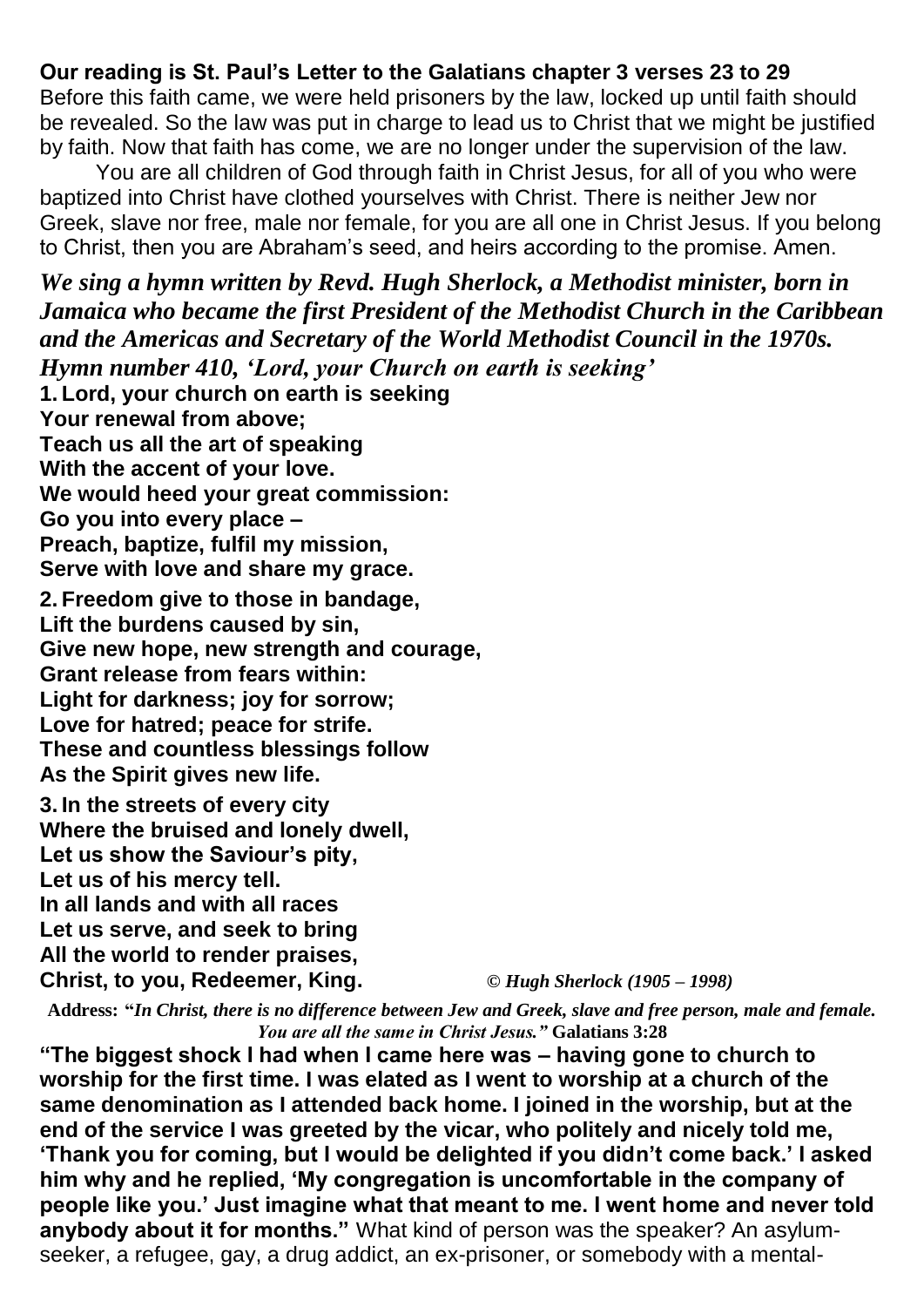# **Our reading is St. Paul's Letter to the Galatians chapter 3 verses 23 to 29**

Before this faith came, we were held prisoners by the law, locked up until faith should be revealed. So the law was put in charge to lead us to Christ that we might be justified by faith. Now that faith has come, we are no longer under the supervision of the law.

You are all children of God through faith in Christ Jesus, for all of you who were baptized into Christ have clothed yourselves with Christ. There is neither Jew nor Greek, slave nor free, male nor female, for you are all one in Christ Jesus. If you belong to Christ, then you are Abraham's seed, and heirs according to the promise. Amen.

*We sing a hymn written by Revd. Hugh Sherlock, a Methodist minister, born in Jamaica who became the first President of the Methodist Church in the Caribbean and the Americas and Secretary of the World Methodist Council in the 1970s. Hymn number 410, 'Lord, your Church on earth is seeking'*  **1. Lord, your church on earth is seeking Your renewal from above; Teach us all the art of speaking With the accent of your love. We would heed your great commission: Go you into every place – Preach, baptize, fulfil my mission, Serve with love and share my grace. 2. Freedom give to those in bandage, Lift the burdens caused by sin, Give new hope, new strength and courage, Grant release from fears within: Light for darkness; joy for sorrow; Love for hatred; peace for strife. These and countless blessings follow As the Spirit gives new life. 3. In the streets of every city Where the bruised and lonely dwell, Let us show the Saviour's pity, Let us of his mercy tell. In all lands and with all races Let us serve, and seek to bring All the world to render praises, Christ, to you, Redeemer, King.** *© Hugh Sherlock (1905 – 1998)*

**Address: "***In Christ, there is no difference between Jew and Greek, slave and free person, male and female. You are all the same in Christ Jesus."* **Galatians 3:28**

**"The biggest shock I had when I came here was – having gone to church to worship for the first time. I was elated as I went to worship at a church of the same denomination as I attended back home. I joined in the worship, but at the end of the service I was greeted by the vicar, who politely and nicely told me, 'Thank you for coming, but I would be delighted if you didn't come back.' I asked him why and he replied, 'My congregation is uncomfortable in the company of people like you.' Just imagine what that meant to me. I went home and never told anybody about it for months."** What kind of person was the speaker? An asylumseeker, a refugee, gay, a drug addict, an ex-prisoner, or somebody with a mental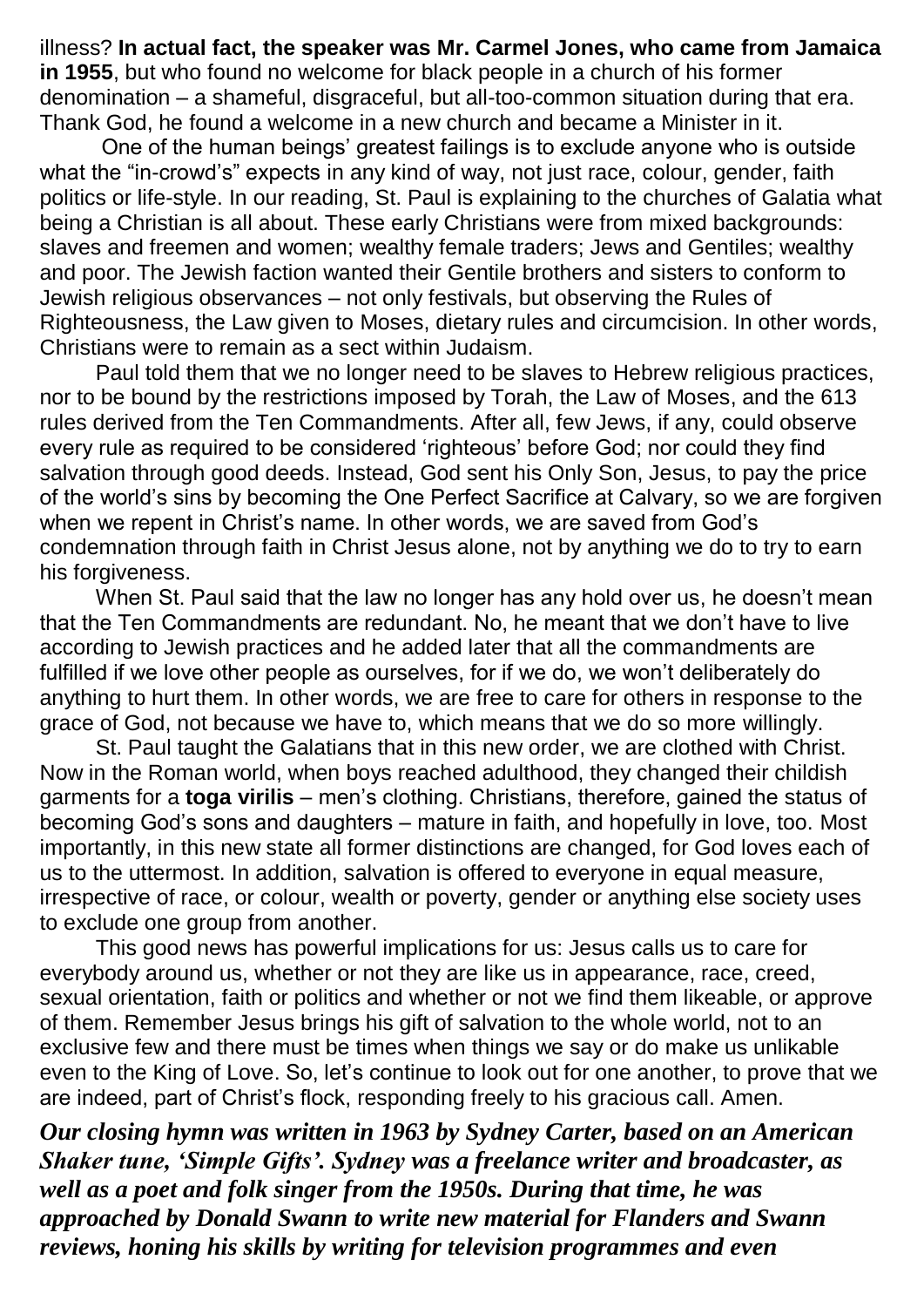illness? **In actual fact, the speaker was Mr. Carmel Jones, who came from Jamaica in 1955**, but who found no welcome for black people in a church of his former denomination – a shameful, disgraceful, but all-too-common situation during that era. Thank God, he found a welcome in a new church and became a Minister in it.

One of the human beings' greatest failings is to exclude anyone who is outside what the "in-crowd's" expects in any kind of way, not just race, colour, gender, faith politics or life-style. In our reading, St. Paul is explaining to the churches of Galatia what being a Christian is all about. These early Christians were from mixed backgrounds: slaves and freemen and women; wealthy female traders; Jews and Gentiles; wealthy and poor. The Jewish faction wanted their Gentile brothers and sisters to conform to Jewish religious observances – not only festivals, but observing the Rules of Righteousness, the Law given to Moses, dietary rules and circumcision. In other words, Christians were to remain as a sect within Judaism.

Paul told them that we no longer need to be slaves to Hebrew religious practices, nor to be bound by the restrictions imposed by Torah, the Law of Moses, and the 613 rules derived from the Ten Commandments. After all, few Jews, if any, could observe every rule as required to be considered 'righteous' before God; nor could they find salvation through good deeds. Instead, God sent his Only Son, Jesus, to pay the price of the world's sins by becoming the One Perfect Sacrifice at Calvary, so we are forgiven when we repent in Christ's name. In other words, we are saved from God's condemnation through faith in Christ Jesus alone, not by anything we do to try to earn his forgiveness.

When St. Paul said that the law no longer has any hold over us, he doesn't mean that the Ten Commandments are redundant. No, he meant that we don't have to live according to Jewish practices and he added later that all the commandments are fulfilled if we love other people as ourselves, for if we do, we won't deliberately do anything to hurt them. In other words, we are free to care for others in response to the grace of God, not because we have to, which means that we do so more willingly.

St. Paul taught the Galatians that in this new order, we are clothed with Christ. Now in the Roman world, when boys reached adulthood, they changed their childish garments for a **toga virilis** – men's clothing. Christians, therefore, gained the status of becoming God's sons and daughters – mature in faith, and hopefully in love, too. Most importantly, in this new state all former distinctions are changed, for God loves each of us to the uttermost. In addition, salvation is offered to everyone in equal measure, irrespective of race, or colour, wealth or poverty, gender or anything else society uses to exclude one group from another.

This good news has powerful implications for us: Jesus calls us to care for everybody around us, whether or not they are like us in appearance, race, creed, sexual orientation, faith or politics and whether or not we find them likeable, or approve of them. Remember Jesus brings his gift of salvation to the whole world, not to an exclusive few and there must be times when things we say or do make us unlikable even to the King of Love. So, let's continue to look out for one another, to prove that we are indeed, part of Christ's flock, responding freely to his gracious call. Amen.

*Our closing hymn was written in 1963 by Sydney Carter, based on an American Shaker tune, 'Simple Gifts'. Sydney was a freelance writer and broadcaster, as well as a poet and folk singer from the 1950s. During that time, he was approached by Donald Swann to write new material for Flanders and Swann reviews, honing his skills by writing for television programmes and even*